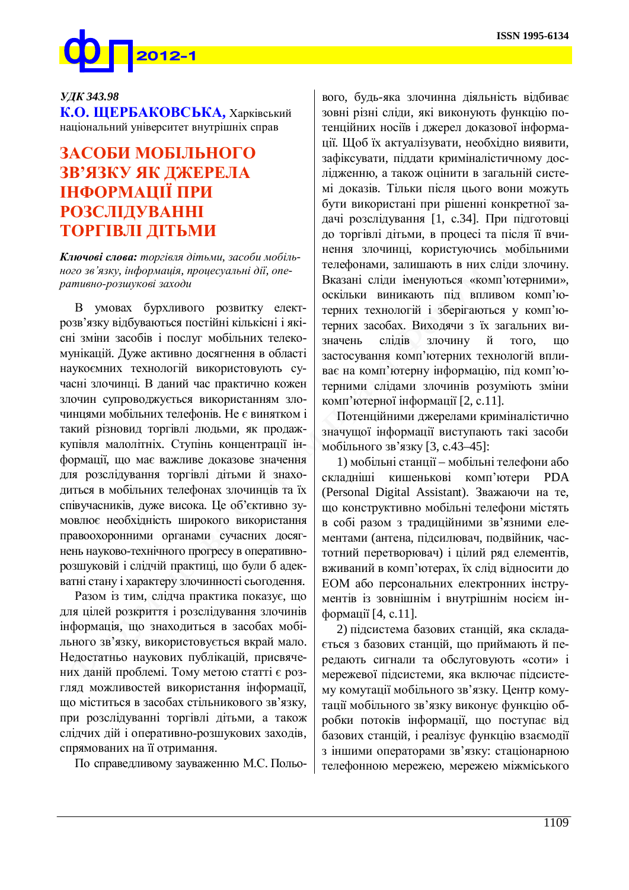

## *ɍȾɄ 343.98*

К.О. ЩЕРБАКОВСЬКА, Харківський національний університет внутрішніх справ

## ЗАСОБИ МОБІЛЬНОГО ЗВ'ЯЗКУ ЯК ДЖЕРЕЛА **ІНФОРМАЦІЇ ПРИ** РОЗСЛІДУВАННІ ТОРГІВЛІ ДІТЬМИ

Ключові слова: торгівля дітьми, засоби мобіль- $\mu$ ого зв'язку, інформація, процесуальні дії, оперативно-розшукові заходи

В умовах бурхливого розвитку електрозв'язку відбуваються постійні кількісні і якісні зміни засобів і послуг мобільних телекомунікацій. Дуже активно досягнення в області наукоємних технологій використовують сучасні злочинці. В даний час практично кожен злочин супроводжується використанням злочинцями мобільних телефонів. Не є винятком і такий різновид торгівлі людьми, як продажкупівля малолітніх. Ступінь концентрації інформації, що має важливе доказове значення для розслідування торгівлі дітьми й знаходиться в мобільних телефонах злочинців та їх співучасників, дуже висока. Це об'єктивно зумовлює необхідність широкого використання правоохоронними органами сучасних досягнень науково-технічного прогресу в оперативнорозшуковій і слідчій практиці, що були б адекватні стану і характеру злочинності сьогодення.

Разом із тим, слідча практика показує, що для цілей розкриття і розслідування злочинів інформація, що знаходиться в засобах мобільного зв'язку, використовується вкрай мало. Недостатньо наукових публікацій, присвячених даній проблемі. Тому метою статті є розгляд можливостей використання інформації, що міститься в засобах стільникового зв'язку, при розслідуванні торгівлі дітьми, а також слідчих дій і оперативно-розшукових заходів, спрямованих на її отримання.

По справедливому зауваженню М.С. Польо-

вого, будь-яка злочинна діяльність відбиває зовні різні сліди, які виконують функцію потенційних носіїв і джерел доказової інформації. Щоб їх актуалізувати, необхідно виявити, зафіксувати, піддати криміналістичному дослідженню, а також оцінити в загальній системі доказів. Тільки після цього вони можуть бути використані при рішенні конкретної задачі розслідування [1, с.34]. При підготовці до торгівлі дітьми, в процесі та після її вчинення злочинці, користуючись мобільними телефонами, залишають в них сліди злочину. Вказані сліди іменуються «комп'ютерними», оскільки виникають під впливом комп'ютерних технологій і зберігаються у комп'ютерних засобах. Виходячи з їх загальних визначень слідів злочину й того, що застосування комп'ютерних технологій впливає на комп'ютерну інформацію, під комп'ютерними слідами злочинів розуміють зміни комп'ютерної інформації [2, с.11].

Потенційними джерелами криміналістично значущої інформації виступають такі засоби мобільного зв'язку [3, с.43–45]:

1) мобільні станції – мобільні телефони або складніші кишенькові комп'ютери PDA (Personal Digital Assistant). Зважаючи на те, що конструктивно мобільні телефони містять в собі разом з традиційними зв'язними елементами (антена, підсилювач, подвійник, частотний перетворювач) і цілий ряд елементів, вживаний в комп'ютерах, їх слід відносити до ЕОМ або персональних електронних інструментів із зовнішнім і внутрішнім носієм інформації [4, с.11].

2) підсистема базових станцій, яка склада-€ться з базових станцій, що приймають й передають сигнали та обслуговують «соти» і мережевої підсистеми, яка включає підсистему комутації мобільного зв'язку. Центр комутації мобільного зв'язку виконує функцію обробки потоків інформації, що поступає від базових станцій, і реалізує функцію взаємодії з іншими операторами зв'язку: стаціонарною телефонною мережею, мережею міжміського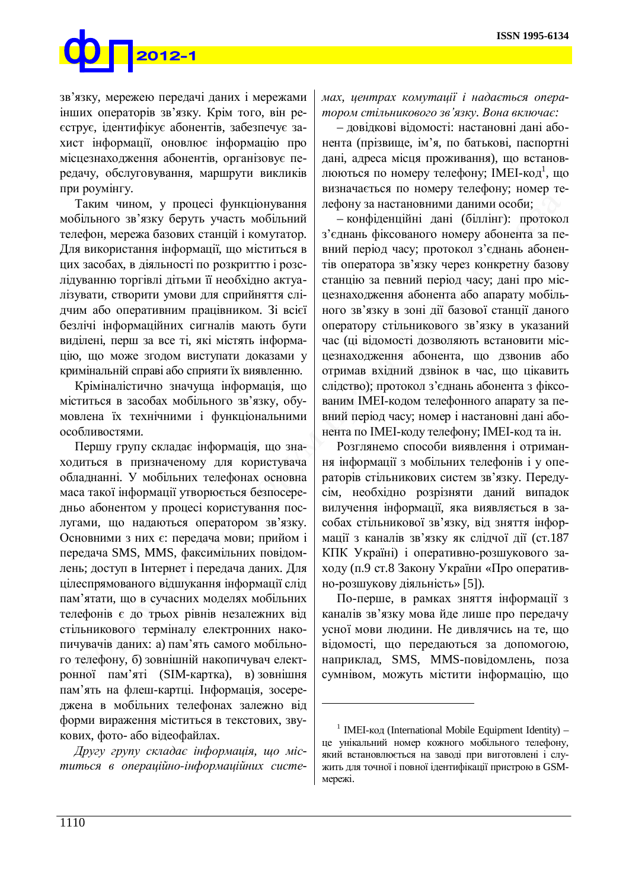## $2012 - 1$

зв'язку, мережею передачі даних і мережами інших операторів зв'язку. Крім того, він рееструє, ідентифікує абонентів, забезпечує захист інформації, оновлює інформацію про місцезнаходження абонентів, організовує передачу, обслуговування, маршрути викликів при роумінгу.

Таким чином, у процесі функціонування мобільного зв'язку беруть участь мобільний телефон, мережа базових станцій і комутатор. Для використання інформації, що міститься в цих засобах, в діяльності по розкриттю і розслідуванню торгівлі дітьми її необхідно актуалізувати, створити умови для сприйняття слідчим або оперативним працівником. Зі всієї безлічі інформаційних сигналів мають бути виділені, перш за все ті, які містять інформацію, що може згодом виступати доказами у кримінальній справі або сприяти їх виявленню.

Кріміналістично значуща інформація, що міститься в засобах мобільного зв'язку, обумовлена їх технічними і функціональними особливостями.

Першу групу складає інформація, що знаходиться в призначеному для користувача обладнанні. У мобільних телефонах основна маса такої інформації утворюється безпосередньо абонентом у процесі користування послугами, що надаються оператором зв'язку. Основними з них є: передача мови; прийом і передача SMS, MMS, факсимільних повідомлень; доступ в Інтернет і передача даних. Для цілеспрямованого відшукання інформації слід пам'ятати, що в сучасних моделях мобільних телефонів є до трьох рівнів незалежних від стільникового терміналу електронних накопичувачів даних: а) пам'ять самого мобільного телефону, б) зовнішній накопичувач електронної пам'яті (SIM-картка), в) зовнішня пам'ять на флеш-картці. Інформація, зосереджена в мобільних телефонах залежно від форми вираження міститься в текстових, звукових, фото- або відеофайлах.

Другу групу складає інформація, що міститься в операційно-інформаційних системах, центрах комутації і надається опера $m$ ором стільникового зв'язку. Вона включає:

– довідкові відомості: настановні дані абонента (прізвище, ім'я, по батькові, паспортні дані, адреса місця проживання), що встановлюються по номеру телефону; IMEI-код<sup>1</sup>, що визначається по номеру телефону; номер телефону за настановними даними особи;

– конфіденційні дані (біллінг): протокол з'єднань фіксованого номеру абонента за певний період часу; протокол з'єднань абонентів оператора зв'язку через конкретну базову станцію за певний період часу; дані про місцезнаходження абонента або апарату мобільного зв'язку в зоні дії базової станції даного оператору стільникового зв'язку в указаний час (ці відомості дозволяють встановити міснезнахолження абонента, що лзвонив або отримав вхідний дзвінок в час, що цікавить слідство); протокол з'єднань абонента з фіксованим IMEI-кодом телефонного апарату за певний період часу; номер і настановні дані абонента по IMEI-коду телефону; IMEI-код та ін.

Розглянемо способи виявлення і отримання інформації з мобільних телефонів і у операторів стільникових систем зв'язку. Передусім, необхідно розрізняти даний випадок вилучення інформації, яка виявляється в засобах стільникової зв'язку, від зняття інформації з каналів зв'язку як слідчої дії (ст.187 КПК Україні) і оперативно-розшукового заходу (п.9 ст.8 Закону України «Про оперативно-розшукову діяльність» [5]).

По-перше, в рамках зняття інформації з каналів зв'язку мова йде лише про передачу усної мови людини. Не дивлячись на те, що відомості, що передаються за допомогою, наприклад, SMS, MMS-повідомлень, поза сумнівом, можуть містити інформацію, що

<u>.</u>

<sup>&</sup>lt;sup>1</sup> IMEI- $\kappa$ од (International Mobile Equipment Identity) – це унікальний номер кожного мобільного телефону, який встановлюється на заводі при виготовлені і служить для точної і повної ідентифікації пристрою в GSMмережі.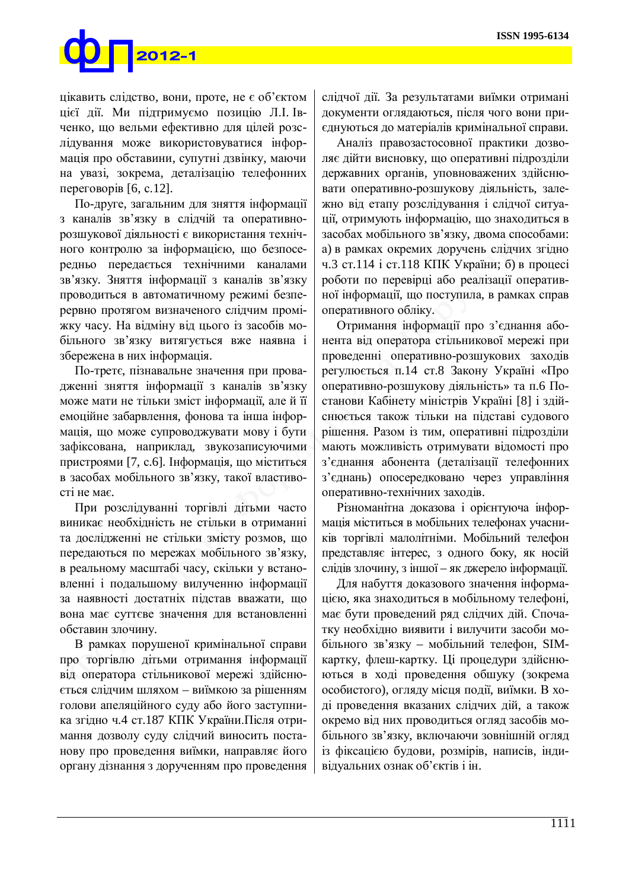

цікавить слідство, вони, проте, не є об'єктом цієї дії. Ми підтримуємо позицію Л.І. Івченко, що вельми ефективно для цілей розслідування може використовуватися інформація про обставини, супутні дзвінку, маючи на увазі, зокрема, деталізацію телефонних переговорів  $[6, c.12]$ .

По-друге, загальним для зняття інформації з каналів зв'язку в слідчій та оперативнорозшукової діяльності є використання технічного контролю за інформацією, що безпосередньо передається технічними каналами зв'язку. Зняття інформації з каналів зв'язку проводиться в автоматичному режимі безперервно протягом визначеного слідчим проміжку часу. На відміну від цього із засобів мобільного зв'язку витягується вже наявна і збережена в них інформація.

По-третє, пізнавальне значення при провадженні зняття інформації з каналів зв'язку може мати не тільки зміст інформації, але й її емоційне забарвлення, фонова та інша інформація, що може супроводжувати мову і бути зафіксована, наприклад, звукозаписуючими пристроями [7, с.6]. Інформація, що міститься в засобах мобільного зв'язку, такої властивості не має.

При розслідуванні торгівлі дітьми часто виникає необхідність не стільки в отриманні та дослідженні не стільки змісту розмов, що передаються по мережах мобільного зв'язку, в реальному масштабі часу, скільки у встановленні і подальшому вилученню інформації за наявності достатніх підстав вважати, що вона має суттєве значення для встановленні обставин злочину.

В рамках порушеної кримінальної справи про торгівлю дітьми отримання інформації від оператора стільникової мережі здійснюється слідчим шляхом – виїмкою за рішенням голови апеляційного суду або його заступника згідно ч.4 ст.187 КПК України. Після отримання дозволу суду слідчий виносить постанову про проведення виїмки, направляє його органу дізнання з дорученням про проведення

слідчої дії. За результатами виїмки отримані документи оглядаються, після чого вони приєднуються до матеріалів кримінальної справи.

Аналіз правозастосовної практики дозволяє дійти висновку, що оперативні підрозділи державних органів, уповноважених здійснювати оперативно-розшукову діяльність, залежно від етапу розслідування і слідчої ситуації, отримують інформацію, що знаходиться в засобах мобільного зв'язку, двома способами: а) в рамках окремих доручень слідчих згідно ч.3 ст.114 і ст.118 КПК України; б) в процесі роботи по перевірці або реалізації оперативної інформації, що поступила, в рамках справ оперативного обліку.

Отримання інформації про з'єднання абонента від оператора стільникової мережі при проведенні оперативно-розшукових заходів регулюється п.14 ст.8 Закону Україні «Про оперативно-розшукову діяльність» та п.6 Постанови Кабінету міністрів Україні [8] і здійснюється також тільки на підставі судового рішення. Разом із тим, оперативні підрозділи мають можливість отримувати відомості про з'єднання абонента (деталізації телефонних з'єднань) опосередковано через управління оперативно-технічних заходів.

Різноманітна доказова і орієнтуюча інформація міститься в мобільних телефонах учасників торгівлі малолітніми. Мобільний телефон представляє інтерес, з одного боку, як носій слідів злочину, з іншої – як джерело інформації.

Для набуття доказового значення інформацією, яка знаходиться в мобільному телефоні, має бути проведений ряд слідчих дій. Спочатку необхідно виявити і вилучити засоби мобільного зв'язку – мобільний телефон, SIMкартку, флеш-картку. Ці процедури здійснюються в ході проведення обшуку (зокрема особистого), огляду місця події, виїмки. В ході проведення вказаних слідчих дій, а також окремо від них проводиться огляд засобів мобільного зв'язку, включаючи зовнішній огляд із фіксацією будови, розмірів, написів, індивідуальних ознак об'єктів і ін.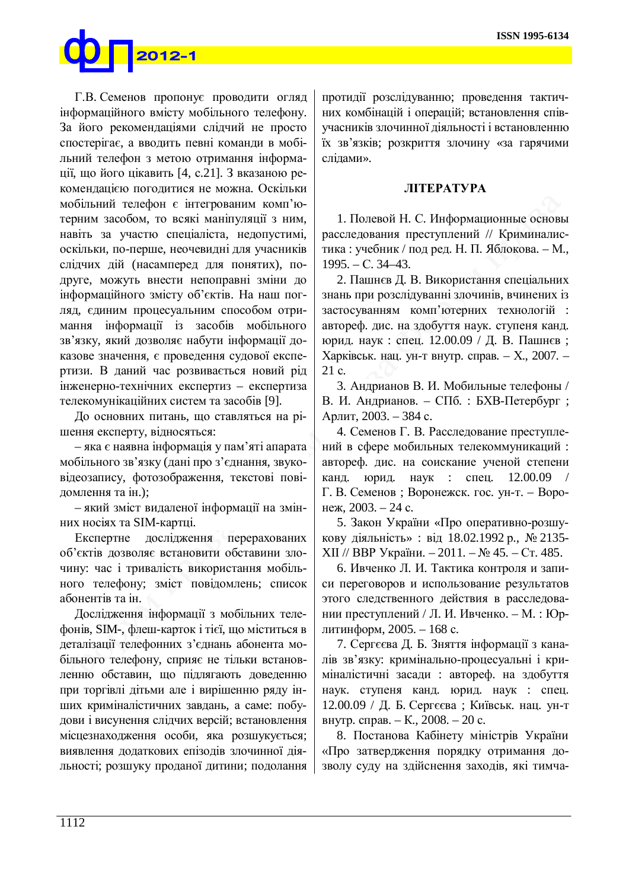

Г.В. Семенов пропонує проводити огляд інформаційного вмісту мобільного телефону. За його рекомендаціями слідчий не просто спостерігає, а вводить певні команди в мобільний телефон з метою отримання інформації, що його цікавить [4, с.21]. З вказаною рекомендацією погодитися не можна. Оскільки мобільний телефон є інтегрованим комп'ютерним засобом, то всякі маніпуляції з ним, навіть за участю спеціаліста, недопустимі, оскільки, по-перше, неочевидні для учасників слідчих дій (насамперед для понятих), подруге, можуть внести непоправні зміни до інформаційного змісту об'єктів. На наш погляд, єдиним процесуальним способом отримання інформації із засобів мобільного зв'язку, який дозволяє набути інформації доказове значення, є проведення судової експертизи. В даний час розвивається новий рід ыженерно-технічних експертиз – експертиза телекомунікаційних систем та засобів [9].

До основних питань, що ставляться на рішення експерту, відносяться:

– яка є наявна інформація у пам'яті апарата мобільного зв'язку (дані про з'єднання, звуковідеозапису, фотозображення, текстові повідомлення та ін.):

- який зміст видаленої інформації на змінних носіях та SIM-картці.

Експертне дослідження перерахованих об'єктів дозволяє встановити обставини злочину: час і тривалість використання мобільного телефону; зміст повідомлень; список абонентів та ін.

Дослідження інформації з мобільних телефонів, SIM-, флеш-карток і тієї, що міститься в деталізації телефонних з'єднань абонента мобільного телефону, сприяє не тільки встановленню обставин, що підлягають доведенню при торгівлі дітьми але і вирішенню ряду інших криміналістичних завдань, а саме: побудови і висунення слідчих версій; встановлення місцезнаходження особи, яка розшукується; виявлення додаткових епізодів злочинної діяльності; розшуку проданої дитини; подолання протидії розслідуванню; проведення тактичних комбінацій і операцій; встановлення співучасників злочинної діяльності і встановленню їх зв'язків; розкриття злочину «за гарячими слілами».

## **JIITEPATYPA**

1. Полевой Н. С. Информационные основы расследования преступлений // Криминалистика: vчебник / под ред. Н. П. Яблокова. – М.,  $1995. - C. 34 - 43.$ 

2. Пашнєв Д. В. Використання спеціальних знань при розслідуванні злочинів, вчинених із застосуванням комп'ютерних технологій : автореф. дис. на здобуття наук. ступеня канд. юрид. наук: спец. 12.00.09 / Д. В. Пашнєв; Харківськ. нац. ун-т внутр. справ. – Х., 2007. –  $21 c.$ 

3. Андрианов В. И. Мобильные телефоны / В. И. Андрианов. – СПб. : БХВ-Петербург; Арлит, 2003. – 384 с.

4. Семенов Г. В. Расследование преступлений в сфере мобильных телекоммуникаций: автореф. дис. на соискание ученой степени канд. юрид. наук : спец. 12.00.09  $\Gamma$ . В. Семенов; Воронежск. гос. ун-т. – Воронеж, 2003. – 24 с.

5. Закон України «Про оперативно-розшукову діяльність» : від 18.02.1992 р., № 2135-ХІІ // ВВР України. – 2011. – № 45. – Ст. 485.

6. Ивченко Л. И. Тактика контроля и записи переговоров и использование результатов этого следственного действия в расследовании преступлений / Л. И. Ивченко. – М. : Юрлитинформ, 2005. – 168 с.

7. Сергєєва Д. Б. Зняття інформації з каналів зв'язку: кримінально-процесуальні і криміналістичні засади : автореф. на здобуття наук. ступеня канд. юрид. наук : спец. 12.00.09 / Д. Б. Сергєєва; Київськ. нац. ун-т внутр. справ. – К., 2008. – 20 с.

8. Постанова Кабінету міністрів України «Про затвердження порядку отримання дозволу суду на здійснення заходів, які тимча-